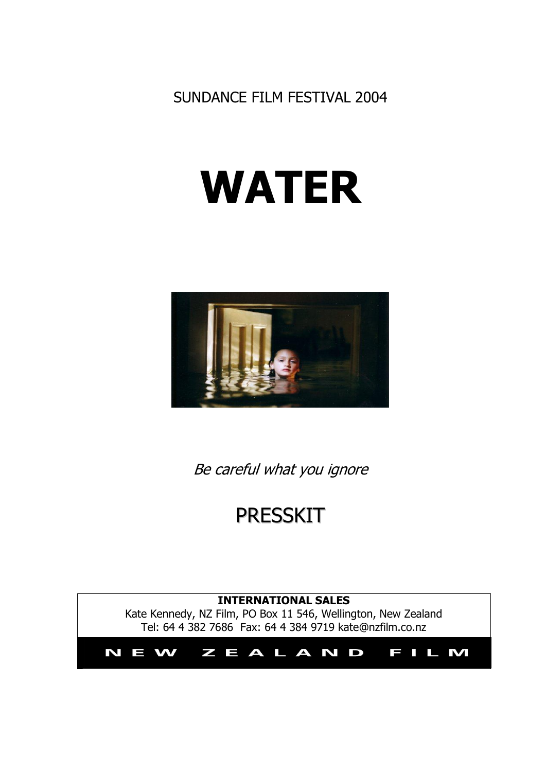SUNDANCE FILM FESTIVAL 2004

# **WATER**



Be careful what you ignore

# PRESSKIT

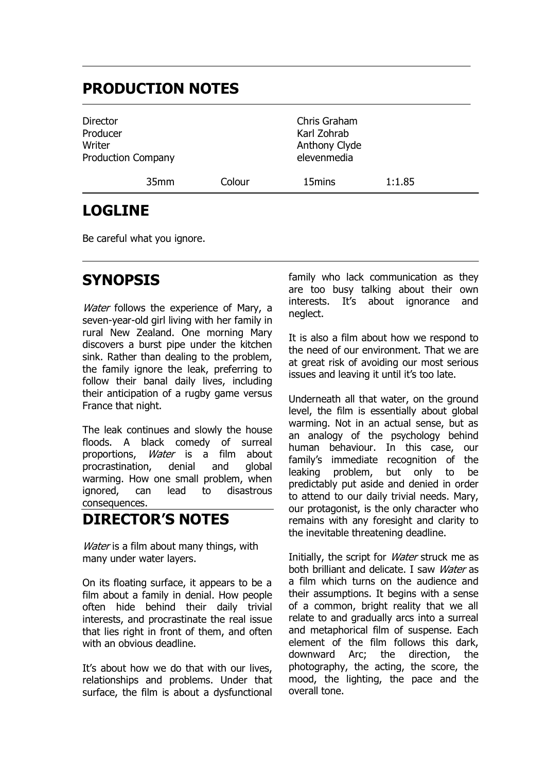## **PRODUCTION NOTES**

| Director<br>Producer<br>Writer<br><b>Production Company</b> |                  |        | Chris Graham<br>Karl Zohrab<br>Anthony Clyde<br>elevenmedia |        |
|-------------------------------------------------------------|------------------|--------|-------------------------------------------------------------|--------|
|                                                             | 35 <sub>mm</sub> | Colour | 15mins                                                      | 1:1.85 |

### **LOGLINE**

Be careful what you ignore.

# **SYNOPSIS**

Water follows the experience of Mary, a seven-year-old girl living with her family in rural New Zealand. One morning Mary discovers a burst pipe under the kitchen sink. Rather than dealing to the problem, the family ignore the leak, preferring to follow their banal daily lives, including their anticipation of a rugby game versus France that night.

The leak continues and slowly the house floods. A black comedy of surreal proportions, Water is a film about procrastination, denial and global warming. How one small problem, when ignored, can lead to disastrous consequences.

### **DIRECTOR'S NOTES**

Water is a film about many things, with many under water layers.

On its floating surface, it appears to be a film about a family in denial. How people often hide behind their daily trivial interests, and procrastinate the real issue that lies right in front of them, and often with an obvious deadline.

It's about how we do that with our lives, relationships and problems. Under that surface, the film is about a dysfunctional

family who lack communication as they are too busy talking about their own interests. It's about ignorance and neglect.

It is also a film about how we respond to the need of our environment. That we are at great risk of avoiding our most serious issues and leaving it until it's too late.

Underneath all that water, on the ground level, the film is essentially about global warming. Not in an actual sense, but as an analogy of the psychology behind human behaviour. In this case, our family's immediate recognition of the leaking problem, but only to be predictably put aside and denied in order to attend to our daily trivial needs. Mary, our protagonist, is the only character who remains with any foresight and clarity to the inevitable threatening deadline.

Initially, the script for *Water* struck me as both brilliant and delicate. I saw Water as a film which turns on the audience and their assumptions. It begins with a sense of a common, bright reality that we all relate to and gradually arcs into a surreal and metaphorical film of suspense. Each element of the film follows this dark, downward Arc; the direction, the photography, the acting, the score, the mood, the lighting, the pace and the overall tone.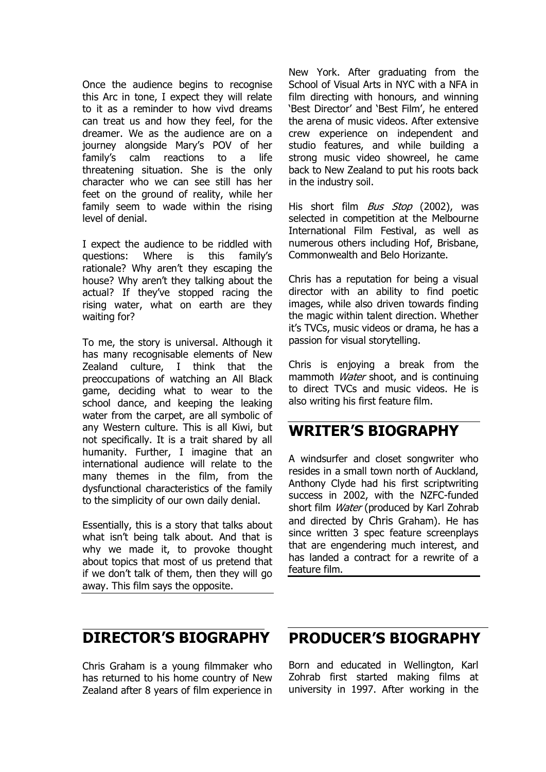Once the audience begins to recognise this Arc in tone, I expect they will relate to it as a reminder to how vivd dreams can treat us and how they feel, for the dreamer. We as the audience are on a journey alongside Mary's POV of her family's calm reactions to a life threatening situation. She is the only character who we can see still has her feet on the ground of reality, while her family seem to wade within the rising level of denial.

I expect the audience to be riddled with questions: Where is this family's rationale? Why aren't they escaping the house? Why aren't they talking about the actual? If they've stopped racing the rising water, what on earth are they waiting for?

To me, the story is universal. Although it has many recognisable elements of New Zealand culture, I think that the preoccupations of watching an All Black game, deciding what to wear to the school dance, and keeping the leaking water from the carpet, are all symbolic of any Western culture. This is all Kiwi, but not specifically. It is a trait shared by all humanity. Further, I imagine that an international audience will relate to the many themes in the film, from the dysfunctional characteristics of the family to the simplicity of our own daily denial.

Essentially, this is a story that talks about what isn't being talk about. And that is why we made it, to provoke thought about topics that most of us pretend that if we don't talk of them, then they will go away. This film says the opposite.

New York. After graduating from the School of Visual Arts in NYC with a NFA in film directing with honours, and winning 'Best Director' and 'Best Film', he entered the arena of music videos. After extensive crew experience on independent and studio features, and while building a strong music video showreel, he came back to New Zealand to put his roots back in the industry soil.

His short film *Bus Stop* (2002), was selected in competition at the Melbourne International Film Festival, as well as numerous others including Hof, Brisbane, Commonwealth and Belo Horizante.

Chris has a reputation for being a visual director with an ability to find poetic images, while also driven towards finding the magic within talent direction. Whether it's TVCs, music videos or drama, he has a passion for visual storytelling.

Chris is enjoying a break from the mammoth *Water* shoot, and is continuing to direct TVCs and music videos. He is also writing his first feature film.

#### **WRITER'S BIOGRAPHY**

A windsurfer and closet songwriter who resides in a small town north of Auckland, Anthony Clyde had his first scriptwriting success in 2002, with the NZFC-funded short film *Water* (produced by Karl Zohrab and directed by Chris Graham). He has since written 3 spec feature screenplays that are engendering much interest, and has landed a contract for a rewrite of a feature film.

### **DIRECTOR'S BIOGRAPHY**

Chris Graham is a young filmmaker who has returned to his home country of New Zealand after 8 years of film experience in

### **PRODUCER'S BIOGRAPHY**

Born and educated in Wellington, Karl Zohrab first started making films at university in 1997. After working in the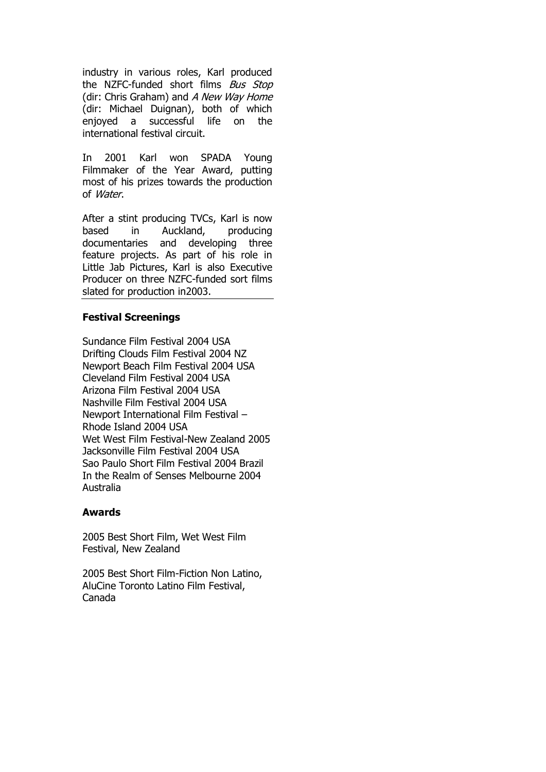industry in various roles, Karl produced the NZFC-funded short films Bus Stop (dir: Chris Graham) and A New Way Home (dir: Michael Duignan), both of which enjoyed a successful life on the international festival circuit.

In 2001 Karl won SPADA Young Filmmaker of the Year Award, putting most of his prizes towards the production of Water.

After a stint producing TVCs, Karl is now based in Auckland, producing documentaries and developing three feature projects. As part of his role in Little Jab Pictures, Karl is also Executive Producer on three NZFC-funded sort films slated for production in2003.

#### **Festival Screenings**

Sundance Film Festival 2004 USA Drifting Clouds Film Festival 2004 NZ Newport Beach Film Festival 2004 USA Cleveland Film Festival 2004 USA Arizona Film Festival 2004 USA Nashville Film Festival 2004 USA Newport International Film Festival – Rhode Island 2004 USA Wet West Film Festival-New Zealand 2005 Jacksonville Film Festival 2004 USA Sao Paulo Short Film Festival 2004 Brazil In the Realm of Senses Melbourne 2004 Australia

#### **Awards**

2005 Best Short Film, Wet West Film Festival, New Zealand

2005 Best Short Film-Fiction Non Latino, AluCine Toronto Latino Film Festival, Canada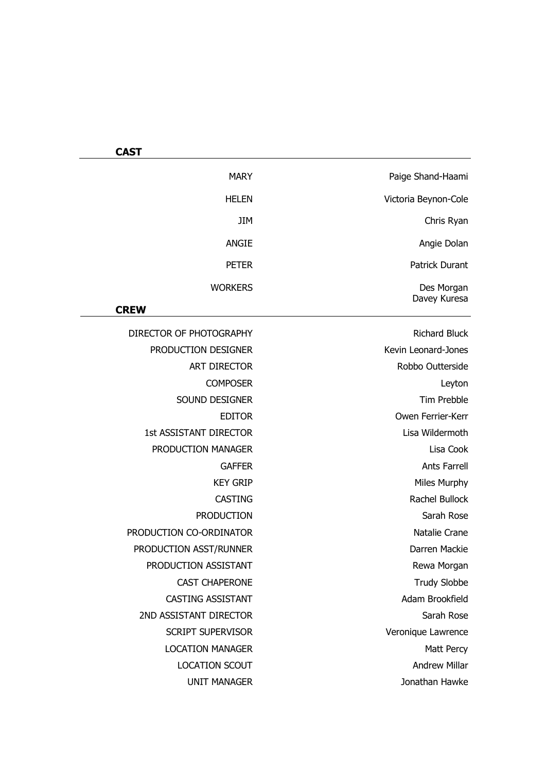| Paige Shand-Haami     | <b>MARY</b>                   |
|-----------------------|-------------------------------|
| Victoria Beynon-Cole  | <b>HELEN</b>                  |
| Chris Ryan            | JIM                           |
| Angie Dolan           | <b>ANGIE</b>                  |
|                       |                               |
| <b>Patrick Durant</b> | <b>PETER</b>                  |
| Des Morgan            | <b>WORKERS</b>                |
| Davey Kuresa          | <b>CREW</b>                   |
| <b>Richard Bluck</b>  | DIRECTOR OF PHOTOGRAPHY       |
| Kevin Leonard-Jones   | PRODUCTION DESIGNER           |
| Robbo Outterside      | <b>ART DIRECTOR</b>           |
| Leyton                | <b>COMPOSER</b>               |
| <b>Tim Prebble</b>    | SOUND DESIGNER                |
| Owen Ferrier-Kerr     | <b>EDITOR</b>                 |
| Lisa Wildermoth       | <b>1st ASSISTANT DIRECTOR</b> |
| Lisa Cook             | PRODUCTION MANAGER            |
| <b>Ants Farrell</b>   | <b>GAFFER</b>                 |
| Miles Murphy          | <b>KEY GRIP</b>               |
| Rachel Bullock        | <b>CASTING</b>                |
| Sarah Rose            | <b>PRODUCTION</b>             |
| Natalie Crane         | PRODUCTION CO-ORDINATOR       |
| Darren Mackie         | PRODUCTION ASST/RUNNER        |
| Rewa Morgan           | PRODUCTION ASSISTANT          |
| <b>Trudy Slobbe</b>   | <b>CAST CHAPERONE</b>         |
| Adam Brookfield       | <b>CASTING ASSISTANT</b>      |
| Sarah Rose            | 2ND ASSISTANT DIRECTOR        |
| Veronique Lawrence    | <b>SCRIPT SUPERVISOR</b>      |
| Matt Percy            | <b>LOCATION MANAGER</b>       |
| Andrew Millar         | <b>LOCATION SCOUT</b>         |

UNIT MANAGER Jonathan Hawke

**CAST**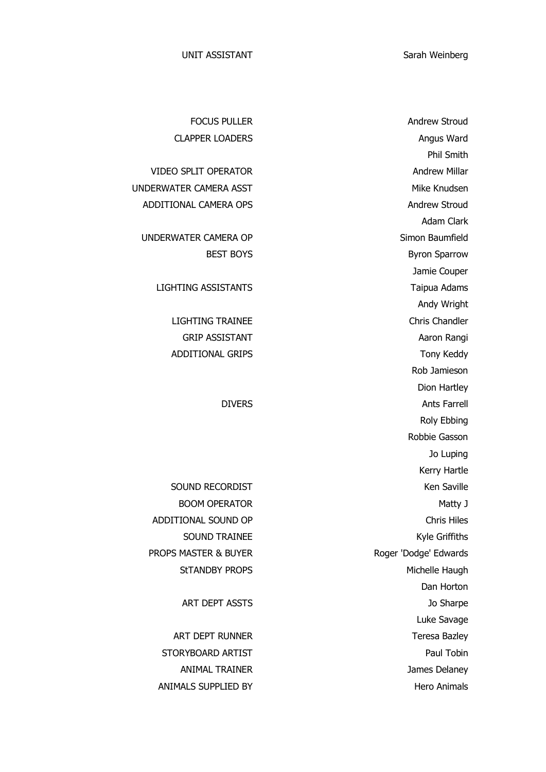FOCUS PULLER Andrew Stroud CLAPPER LOADERS Angus Ward Phil Smith VIDEO SPLIT OPERATOR **Andrew Millar** Adam Clark BEST BOYS Byron Sparrow Jamie Couper Andy Wright LIGHTING TRAINEE Chris Chandler GRIP ASSISTANT Aaron Rangi Rob Jamieson Dion Hartley DIVERS Ants Farrell Roly Ebbing Robbie Gasson Jo Luping Kerry Hartle SOUND RECORDIST **Ken** Saville BOOM OPERATOR Matty J SOUND TRAINEE Kyle Griffiths StTANDBY PROPS Michelle Haugh Dan Horton ART DEPT ASSTS Jo Sharpe Luke Savage ART DEPT RUNNER Teresa Bazley ANIMAL TRAINER James Delaney

UNDERWATER CAMERA ASST **Mike Knudsen** ADDITIONAL CAMERA OPS Andrew Stroud

UNDERWATER CAMERA OP Simon Baumfield

LIGHTING ASSISTANTS Taipua Adams

ADDITIONAL GRIPS Tony Keddy

ADDITIONAL SOUND OP Chris Hiles PROPS MASTER & BUYER Roger 'Dodge' Edwards

STORYBOARD ARTIST **Paul Tobin** Paul Tobin ANIMALS SUPPLIED BY **Hero** Animals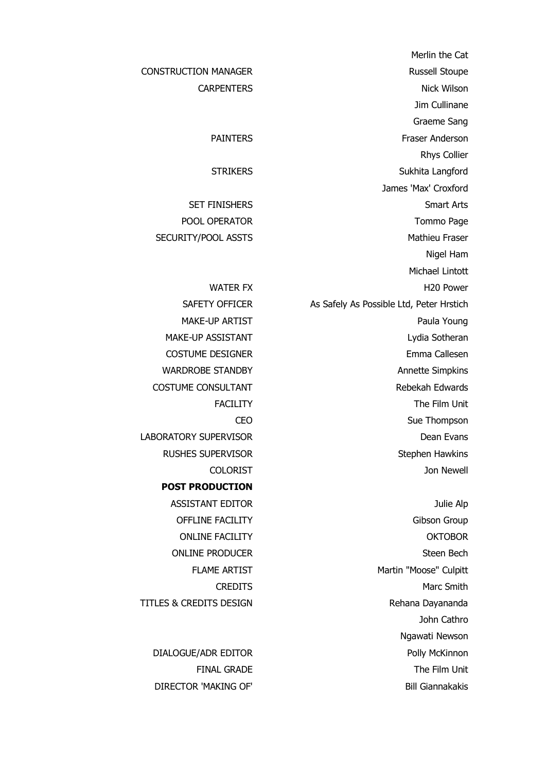Merlin the Cat CONSTRUCTION MANAGER Russell Stoupe CARPENTERS Nick Wilson Jim Cullinane Graeme Sang PAINTERS Fraser Anderson Rhys Collier STRIKERS Sukhita Langford James 'Max' Croxford SET FINISHERS Smart Arts POOL OPERATOR Tommo Page SECURITY/POOL ASSTS Mathieu Fraser Nigel Ham Michael Lintott WATER FX BELLET FOR THE MUSIC HAS H20 Power SAFETY OFFICER As Safely As Possible Ltd, Peter Hrstich MAKE-UP ARTIST **Paula Young** MAKE-UP ASSISTANT Lydia Sotheran COSTUME DESIGNER Emma Callesen WARDROBE STANDBY **Annette Simpkins** COSTUME CONSULTANT **Rebekah Edwards** FACILITY The Film Unit CEO Sue Thompson LABORATORY SUPERVISOR **DEALLY SUPERVISOR DEALLY SUPERVISOR** RUSHES SUPERVISOR Stephen Hawkins COLORIST Jon Newell

OFFLINE FACILITY **Gibson Group** ONLINE FACILITY OKTOBOR ONLINE PRODUCER Steen Bech FLAME ARTIST Martin "Moose" Culpitt CREDITS Marc Smith John Cathro Ngawati Newson DIALOGUE/ADR EDITOR Polly McKinnon FINAL GRADE The Film Unit

**POST PRODUCTION** ASSISTANT EDITOR Julie Alp TITLES & CREDITS DESIGN Rehana Dayananda

DIRECTOR 'MAKING OF' Bill Giannakakis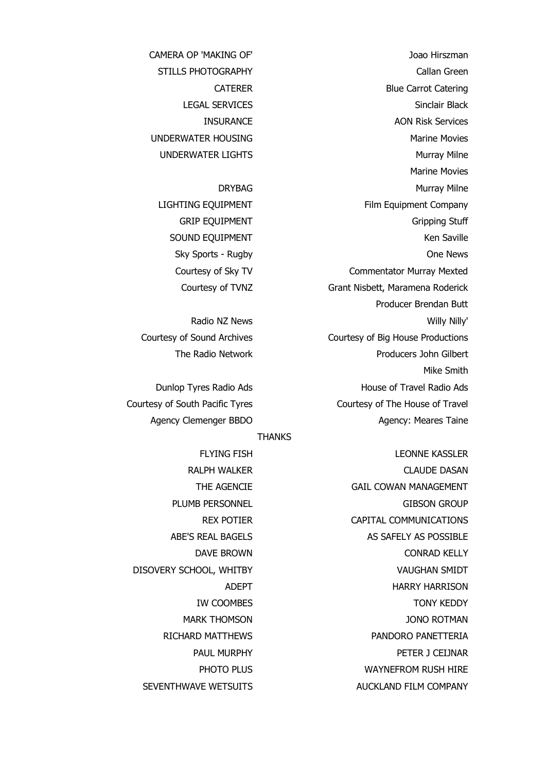STILLS PHOTOGRAPHY Callan Green CATERER Blue Carrot Catering LEGAL SERVICES Sinclair Black **INSURANCE** AON Risk Services UNDERWATER HOUSING Marine Movies UNDERWATER LIGHTS Murray Milne Marine Movies DRYBAG Murray Milne LIGHTING EQUIPMENT Film Equipment Company GRIP EQUIPMENT GRIP EQUIPMENT SOUND EQUIPMENT **Ken** Saville Sky Sports - Rugby **One News** Courtesy of Sky TV Commentator Murray Mexted Courtesy of TVNZ Grant Nisbett, Maramena Roderick Producer Brendan Butt Radio NZ News Willy Nilly Nilly Nilly Nilly Nilly Courtesy of Sound Archives Courtesy of Big House Productions The Radio Network **Producers** John Gilbert Mike Smith Dunlop Tyres Radio Ads **House of Travel Radio Ads** Courtesy of South Pacific Tyres Courtesy of The House of Travel Agency Clemenger BBDO Agency: Meares Taine

FLYING FISH LEONNE KASSLER RALPH WALKER CLAUDE DASAN THE AGENCIE GAIL COWAN MANAGEMENT PLUMB PERSONNEL GIBSON GROUP REX POTIER CAPITAL COMMUNICATIONS ABE'S REAL BAGELS AS SAFELY AS POSSIBLE DAVE BROWN CONRAD KELLY ADEPT HARRY HARRISON IW COOMBES TONY KEDDY MARK THOMSON JONO ROTMAN RICHARD MATTHEWS **PANDORO PANETTERIA** PAUL MURPHY PETER J CEIJNAR PHOTO PLUS WAYNEFROM RUSH HIRE SEVENTHWAVE WETSUITS AUCKLAND FILM COMPANY

CAMERA OP 'MAKING OF' Joao Hirszman

#### **THANKS**

DISOVERY SCHOOL, WHITBY VAUGHAN SMIDT